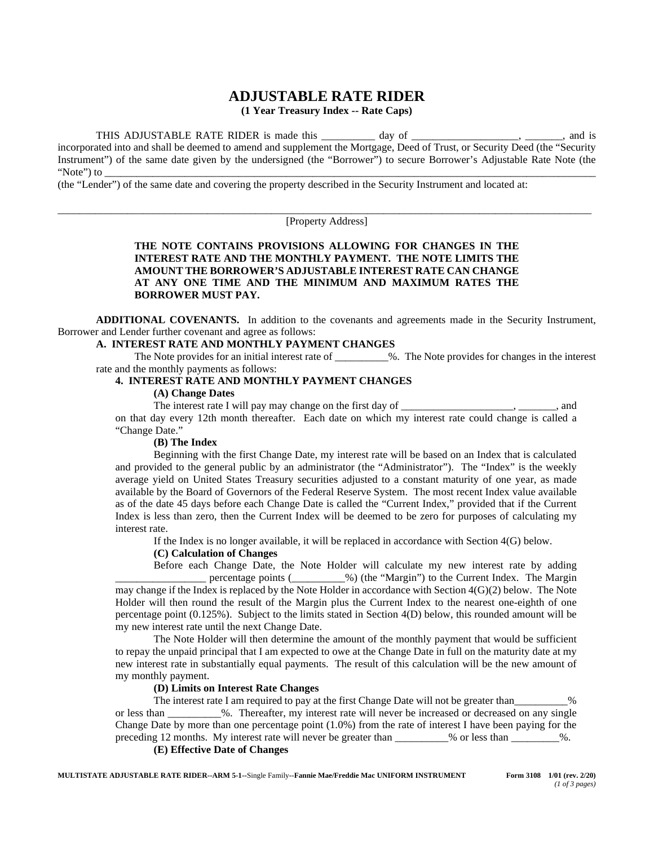# **ADJUSTABLE RATE RIDER**

## **(1 Year Treasury Index -- Rate Caps)**

THIS ADJUSTABLE RATE RIDER is made this \_\_\_\_\_\_\_\_\_ day of \_\_\_\_\_\_\_\_\_\_\_\_\_\_\_\_\_, \_\_\_\_\_\_, and is incorporated into and shall be deemed to amend and supplement the Mortgage, Deed of Trust, or Security Deed (the "Security Instrument") of the same date given by the undersigned (the "Borrower") to secure Borrower's Adjustable Rate Note (the "Note") to \_\_\_\_\_\_\_\_\_\_\_\_\_\_\_\_\_\_\_\_\_\_\_\_\_\_\_\_\_\_\_\_\_\_\_\_\_\_\_\_\_\_\_\_\_\_\_\_\_\_\_\_\_\_\_\_\_\_\_\_\_\_\_\_\_\_\_\_\_\_\_\_\_\_\_\_\_\_\_\_\_\_\_\_\_\_\_\_\_\_\_\_

(the "Lender") of the same date and covering the property described in the Security Instrument and located at:

\_\_\_\_\_\_\_\_\_\_\_\_\_\_\_\_\_\_\_\_\_\_\_\_\_\_\_\_\_\_\_\_\_\_\_\_\_\_\_\_\_\_\_\_\_\_\_\_\_\_\_\_\_\_\_\_\_\_\_\_\_\_\_\_\_\_\_\_\_\_\_\_\_\_\_\_\_\_\_\_\_\_\_\_\_\_\_\_\_\_\_\_\_\_\_\_\_\_\_\_ [Property Address]

## **THE NOTE CONTAINS PROVISIONS ALLOWING FOR CHANGES IN THE INTEREST RATE AND THE MONTHLY PAYMENT. THE NOTE LIMITS THE AMOUNT THE BORROWER'S ADJUSTABLE INTEREST RATE CAN CHANGE AT ANY ONE TIME AND THE MINIMUM AND MAXIMUM RATES THE BORROWER MUST PAY.**

**ADDITIONAL COVENANTS.** In addition to the covenants and agreements made in the Security Instrument, Borrower and Lender further covenant and agree as follows:

### **A. INTEREST RATE AND MONTHLY PAYMENT CHANGES**

The Note provides for an initial interest rate of \_\_\_\_\_\_\_\_\_\_%. The Note provides for changes in the interest rate and the monthly payments as follows:

### **4. INTEREST RATE AND MONTHLY PAYMENT CHANGES**

## **(A) Change Dates**

The interest rate I will pay may change on the first day of \_\_\_\_\_\_\_\_\_\_\_\_\_\_\_\_\_\_\_\_\_ on that day every 12th month thereafter. Each date on which my interest rate could change is called a "Change Date."

#### **(B) The Index**

Beginning with the first Change Date, my interest rate will be based on an Index that is calculated and provided to the general public by an administrator (the "Administrator"). The "Index" is the weekly average yield on United States Treasury securities adjusted to a constant maturity of one year, as made available by the Board of Governors of the Federal Reserve System. The most recent Index value available as of the date 45 days before each Change Date is called the "Current Index," provided that if the Current Index is less than zero, then the Current Index will be deemed to be zero for purposes of calculating my interest rate.

If the Index is no longer available, it will be replaced in accordance with Section 4(G) below.

#### **(C) Calculation of Changes**

Before each Change Date, the Note Holder will calculate my new interest rate by adding percentage points ( $\%$ ) (the "Margin") to the Current Index. The Margin may change if the Index is replaced by the Note Holder in accordance with Section 4(G)(2) below. The Note Holder will then round the result of the Margin plus the Current Index to the nearest one-eighth of one percentage point (0.125%). Subject to the limits stated in Section 4(D) below, this rounded amount will be my new interest rate until the next Change Date.

The Note Holder will then determine the amount of the monthly payment that would be sufficient to repay the unpaid principal that I am expected to owe at the Change Date in full on the maturity date at my new interest rate in substantially equal payments. The result of this calculation will be the new amount of my monthly payment.

## **(D) Limits on Interest Rate Changes**

The interest rate I am required to pay at the first Change Date will not be greater than  $\%$ or less than \_\_\_\_\_\_\_\_\_\_%. Thereafter, my interest rate will never be increased or decreased on any single Change Date by more than one percentage point (1.0%) from the rate of interest I have been paying for the preceding 12 months. My interest rate will never be greater than \_\_\_\_\_\_\_\_% or less than \_\_\_\_\_\_\_\_%.

#### **(E) Effective Date of Changes**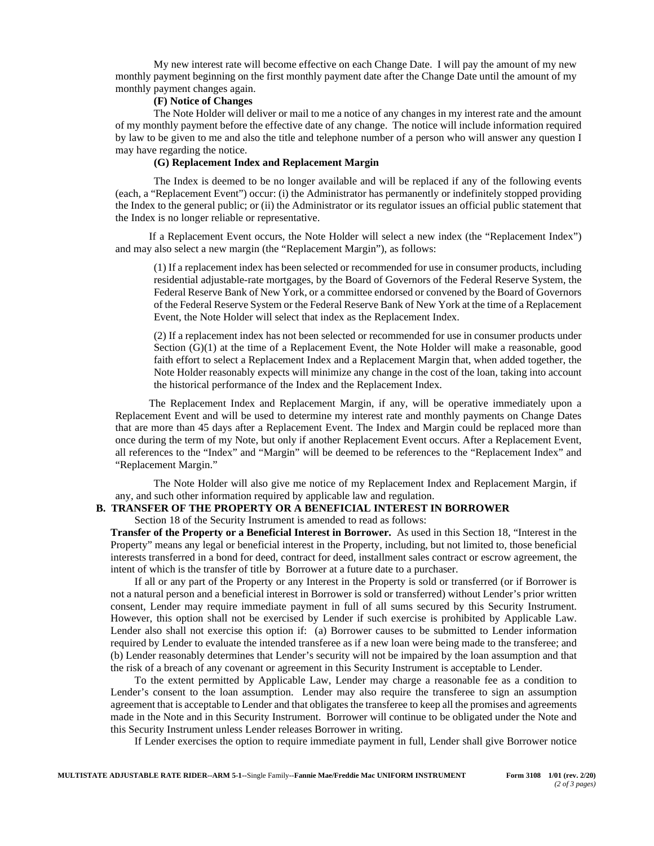My new interest rate will become effective on each Change Date. I will pay the amount of my new monthly payment beginning on the first monthly payment date after the Change Date until the amount of my monthly payment changes again.

#### **(F) Notice of Changes**

The Note Holder will deliver or mail to me a notice of any changes in my interest rate and the amount of my monthly payment before the effective date of any change. The notice will include information required by law to be given to me and also the title and telephone number of a person who will answer any question I may have regarding the notice.

#### **(G) Replacement Index and Replacement Margin**

The Index is deemed to be no longer available and will be replaced if any of the following events (each, a "Replacement Event") occur: (i) the Administrator has permanently or indefinitely stopped providing the Index to the general public; or (ii) the Administrator or its regulator issues an official public statement that the Index is no longer reliable or representative.

If a Replacement Event occurs, the Note Holder will select a new index (the "Replacement Index") and may also select a new margin (the "Replacement Margin"), as follows:

(1) If a replacement index has been selected or recommended for use in consumer products, including residential adjustable-rate mortgages, by the Board of Governors of the Federal Reserve System, the Federal Reserve Bank of New York, or a committee endorsed or convened by the Board of Governors of the Federal Reserve System or the Federal Reserve Bank of New York at the time of a Replacement Event, the Note Holder will select that index as the Replacement Index.

(2) If a replacement index has not been selected or recommended for use in consumer products under Section (G)(1) at the time of a Replacement Event, the Note Holder will make a reasonable, good faith effort to select a Replacement Index and a Replacement Margin that, when added together, the Note Holder reasonably expects will minimize any change in the cost of the loan, taking into account the historical performance of the Index and the Replacement Index.

The Replacement Index and Replacement Margin, if any, will be operative immediately upon a Replacement Event and will be used to determine my interest rate and monthly payments on Change Dates that are more than 45 days after a Replacement Event. The Index and Margin could be replaced more than once during the term of my Note, but only if another Replacement Event occurs. After a Replacement Event, all references to the "Index" and "Margin" will be deemed to be references to the "Replacement Index" and "Replacement Margin."

The Note Holder will also give me notice of my Replacement Index and Replacement Margin, if any, and such other information required by applicable law and regulation.

## **B. TRANSFER OF THE PROPERTY OR A BENEFICIAL INTEREST IN BORROWER**

Section 18 of the Security Instrument is amended to read as follows:

**Transfer of the Property or a Beneficial Interest in Borrower.** As used in this Section 18, "Interest in the Property" means any legal or beneficial interest in the Property, including, but not limited to, those beneficial interests transferred in a bond for deed, contract for deed, installment sales contract or escrow agreement, the intent of which is the transfer of title by Borrower at a future date to a purchaser.

If all or any part of the Property or any Interest in the Property is sold or transferred (or if Borrower is not a natural person and a beneficial interest in Borrower is sold or transferred) without Lender's prior written consent, Lender may require immediate payment in full of all sums secured by this Security Instrument. However, this option shall not be exercised by Lender if such exercise is prohibited by Applicable Law. Lender also shall not exercise this option if: (a) Borrower causes to be submitted to Lender information required by Lender to evaluate the intended transferee as if a new loan were being made to the transferee; and (b) Lender reasonably determines that Lender's security will not be impaired by the loan assumption and that the risk of a breach of any covenant or agreement in this Security Instrument is acceptable to Lender.

To the extent permitted by Applicable Law, Lender may charge a reasonable fee as a condition to Lender's consent to the loan assumption. Lender may also require the transferee to sign an assumption agreement that is acceptable to Lender and that obligates the transferee to keep all the promises and agreements made in the Note and in this Security Instrument. Borrower will continue to be obligated under the Note and this Security Instrument unless Lender releases Borrower in writing.

If Lender exercises the option to require immediate payment in full, Lender shall give Borrower notice